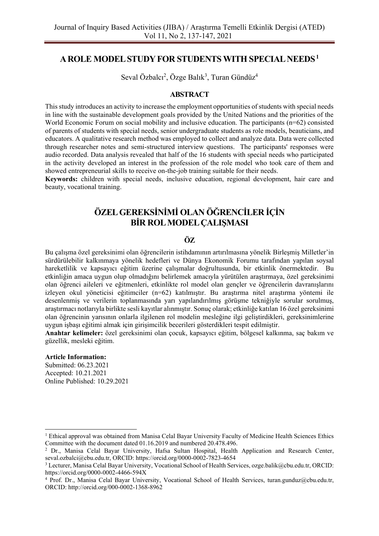## **A ROLE MODEL STUDY FOR STUDENTS WITH SPECIAL NEEDS<sup>1</sup>**

Seval Özbalcı<sup>2</sup>, Özge Balık<sup>3</sup>, Turan Gündüz<sup>4</sup>

## **ABSTRACT**

This study introduces an activity to increase the employment opportunities of students with special needs in line with the sustainable development goals provided by the United Nations and the priorities of the World Economic Forum on social mobility and inclusive education. The participants (n=62) consisted of parents of students with special needs, senior undergraduate students as role models, beauticians, and educators. A qualitative research method was employed to collect and analyze data. Data were collected through researcher notes and semi-structured interview questions. The participants' responses were audio recorded. Data analysis revealed that half of the 16 students with special needs who participated in the activity developed an interest in the profession of the role model who took care of them and showed entrepreneurial skills to receive on-the-job training suitable for their needs.

**Keywords:** children with special needs, inclusive education, regional development, hair care and beauty, vocational training.

# **ÖZEL GEREKSİNİMİ OLAN ÖĞRENCİLER İÇİN BİR ROL MODEL ÇALIŞMASI**

## **ÖZ**

Bu çalışma özel gereksinimi olan öğrencilerin istihdamının artırılmasına yönelik Birleşmiş Milletler'in sürdürülebilir kalkınmaya yönelik hedefleri ve Dünya Ekonomik Forumu tarafından yapılan soysal hareketlilik ve kapsayıcı eğitim üzerine çalışmalar doğrultusunda, bir etkinlik önermektedir. Bu etkinliğin amaca uygun olup olmadığını belirlemek amacıyla yürütülen araştırmaya, özel gereksinimi olan öğrenci aileleri ve eğitmenleri, etkinlikte rol model olan gençler ve öğrencilerin davranışlarını izleyen okul yöneticisi eğitimciler (n=62) katılmıştır. Bu araştırma nitel araştırma yöntemi ile desenlenmiş ve verilerin toplanmasında yarı yapılandırılmış görüşme tekniğiyle sorular sorulmuş, araştırmacı notlarıyla birlikte sesli kayıtlar alınmıştır. Sonuç olarak; etkinliğe katılan 16 özel gereksinimi olan öğrencinin yarısının onlarla ilgilenen rol modelin mesleğine ilgi geliştirdikleri, gereksinimlerine uygun işbaşı eğitimi almak için girişimcilik becerileri gösterdikleri tespit edilmiştir.

**Anahtar kelimeler:** özel gereksinimi olan çocuk, kapsayıcı eğitim, bölgesel kalkınma, saç bakım ve güzellik, mesleki eğitim.

#### **Article Information:**

Submitted: 06.23.2021 Accepted: 10.21.2021 Online Published: 10.29.2021

<sup>1</sup> Ethical approval was obtained from Manisa Celal Bayar University Faculty of Medicine Health Sciences Ethics Committee with the document dated 01.16.2019 and numbered 20.478.496.

<sup>2</sup> Dr., Manisa Celal Bayar University, Hafsa Sultan Hospital, Health Application and Research Center, seval.ozbalci@cbu.edu.tr, ORCID: https://orcid.org/0000-0002-7823-4654

<sup>3</sup> Lecturer, Manisa Celal Bayar University, Vocational School of Health Services, ozge.balik@cbu.edu.tr, ORCID: https://orcid.org/0000-0002-4466-594X

<sup>4</sup> Prof. Dr., Manisa Celal Bayar University, Vocational School of Health Services, turan.gunduz@cbu.edu.tr, ORCID: http://orcid.org/000-0002-1368-8962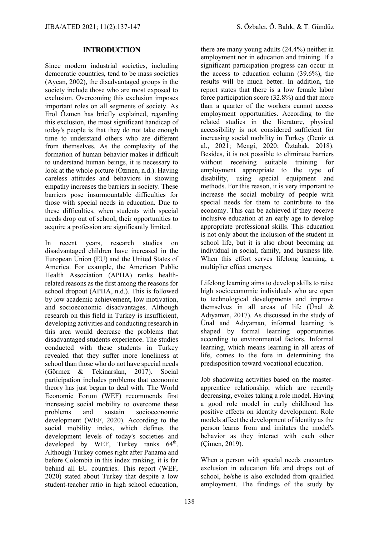## **INTRODUCTION**

Since modern industrial societies, including democratic countries, tend to be mass societies (Aycan, 2002), the disadvantaged groups in the society include those who are most exposed to exclusion. Overcoming this exclusion imposes important roles on all segments of society. As Erol Özmen has briefly explained, regarding this exclusion, the most significant handicap of today's people is that they do not take enough time to understand others who are different from themselves. As the complexity of the formation of human behavior makes it difficult to understand human beings, it is necessary to look at the whole picture (Özmen, n.d.). Having careless attitudes and behaviors in showing empathy increases the barriers in society. These barriers pose insurmountable difficulties for those with special needs in education. Due to these difficulties, when students with special needs drop out of school, their opportunities to acquire a profession are significantly limited.

In recent years, research studies on disadvantaged children have increased in the European Union (EU) and the United States of America. For example, the American Public Health Association (APHA) ranks healthrelated reasons as the first among the reasons for school dropout (APHA, n.d.). This is followed by low academic achievement, low motivation, and socioeconomic disadvantages. Although research on this field in Turkey is insufficient, developing activities and conducting research in this area would decrease the problems that disadvantaged students experience. The studies conducted with these students in Turkey revealed that they suffer more loneliness at school than those who do not have special needs (Görmez & Tekinarslan, 2017). Social participation includes problems that economic theory has just begun to deal with. The World Economic Forum (WEF) recommends first increasing social mobility to overcome these problems and sustain socioeconomic development (WEF, 2020). According to the social mobility index, which defines the development levels of today's societies and developed by WEF, Turkey ranks  $64<sup>th</sup>$ . Although Turkey comes right after Panama and before Colombia in this index ranking, it is far behind all EU countries. This report (WEF, 2020) stated about Turkey that despite a low student-teacher ratio in high school education,

there are many young adults (24.4%) neither in employment nor in education and training. If a significant participation progress can occur in the access to education column (39.6%), the results will be much better. In addition, the report states that there is a low female labor force participation score (32.8%) and that more than a quarter of the workers cannot access employment opportunities. According to the related studies in the literature, physical accessibility is not considered sufficient for increasing social mobility in Turkey (Deniz et al., 2021; Mengi, 2020; Öztabak, 2018). Besides, it is not possible to eliminate barriers without receiving suitable training for employment appropriate to the type of disability, using special equipment and methods. For this reason, it is very important to increase the social mobility of people with special needs for them to contribute to the economy. This can be achieved if they receive inclusive education at an early age to develop appropriate professional skills. This education is not only about the inclusion of the student in school life, but it is also about becoming an individual in social, family, and business life. When this effort serves lifelong learning, a multiplier effect emerges.

Lifelong learning aims to develop skills to raise high socioeconomic individuals who are open to technological developments and improve themselves in all areas of life (Ünal & Adıyaman, 2017). As discussed in the study of Ünal and Adıyaman, informal learning is shaped by formal learning opportunities according to environmental factors. Informal learning, which means learning in all areas of life, comes to the fore in determining the predisposition toward vocational education.

Job shadowing activities based on the masterapprentice relationship, which are recently decreasing, evokes taking a role model. Having a good role model in early childhood has positive effects on identity development. Role models affect the development of identity as the person learns from and imitates the model's behavior as they interact with each other (Çimen, 2019).

When a person with special needs encounters exclusion in education life and drops out of school, he/she is also excluded from qualified employment. The findings of the study by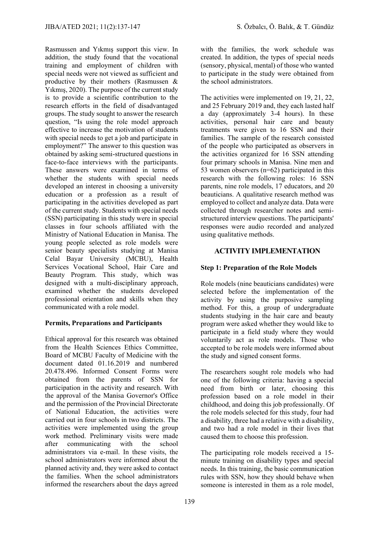Rasmussen and Yıkmış support this view. In addition, the study found that the vocational training and employment of children with special needs were not viewed as sufficient and productive by their mothers (Rasmussen & Yıkmış, 2020). The purpose of the current study is to provide a scientific contribution to the research efforts in the field of disadvantaged groups. The study sought to answer the research question, "Is using the role model approach effective to increase the motivation of students with special needs to get a job and participate in employment?" The answer to this question was obtained by asking semi-structured questions in face-to-face interviews with the participants. These answers were examined in terms of whether the students with special needs developed an interest in choosing a university education or a profession as a result of participating in the activities developed as part of the current study. Students with special needs (SSN) participating in this study were in special classes in four schools affiliated with the Ministry of National Education in Manisa. The young people selected as role models were senior beauty specialists studying at Manisa Celal Bayar University (MCBU), Health Services Vocational School, Hair Care and Beauty Program. This study, which was designed with a multi-disciplinary approach, examined whether the students developed professional orientation and skills when they communicated with a role model.

## **Permits, Preparations and Participants**

Ethical approval for this research was obtained from the Health Sciences Ethics Committee, Board of MCBU Faculty of Medicine with the document dated 01.16.2019 and numbered 20.478.496. Informed Consent Forms were obtained from the parents of SSN for participation in the activity and research. With the approval of the Manisa Governor's Office and the permission of the Provincial Directorate of National Education, the activities were carried out in four schools in two districts. The activities were implemented using the group work method. Preliminary visits were made after communicating with the school administrators via e-mail. In these visits, the school administrators were informed about the planned activity and, they were asked to contact the families. When the school administrators informed the researchers about the days agreed with the families, the work schedule was created. In addition, the types of special needs (sensory, physical, mental) of those who wanted to participate in the study were obtained from the school administrators.

The activities were implemented on 19, 21, 22, and 25 February 2019 and, they each lasted half a day (approximately 3-4 hours). In these activities, personal hair care and beauty treatments were given to 16 SSN and their families. The sample of the research consisted of the people who participated as observers in the activities organized for 16 SSN attending four primary schools in Manisa. Nine men and 53 women observers (n=62) participated in this research with the following roles: 16 SSN parents, nine role models, 17 educators, and 20 beauticians. A qualitative research method was employed to collect and analyze data. Data were collected through researcher notes and semistructured interview questions. The participants' responses were audio recorded and analyzed using qualitative methods.

## **ACTIVITY IMPLEMENTATION**

## **Step 1: Preparation of the Role Models**

Role models (nine beauticians candidates) were selected before the implementation of the activity by using the purposive sampling method. For this, a group of undergraduate students studying in the hair care and beauty program were asked whether they would like to participate in a field study where they would voluntarily act as role models. Those who accepted to be role models were informed about the study and signed consent forms.

The researchers sought role models who had one of the following criteria: having a special need from birth or later, choosing this profession based on a role model in their childhood, and doing this job professionally. Of the role models selected for this study, four had a disability, three had a relative with a disability, and two had a role model in their lives that caused them to choose this profession.

The participating role models received a 15 minute training on disability types and special needs. In this training, the basic communication rules with SSN, how they should behave when someone is interested in them as a role model,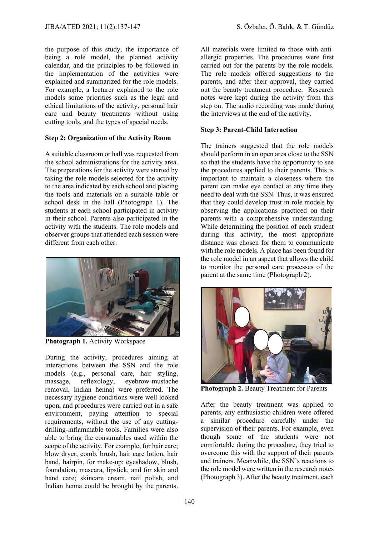the purpose of this study, the importance of being a role model, the planned activity calendar, and the principles to be followed in the implementation of the activities were explained and summarized for the role models. For example, a lecturer explained to the role models some priorities such as the legal and ethical limitations of the activity, personal hair care and beauty treatments without using cutting tools, and the types of special needs.

## **Step 2: Organization of the Activity Room**

A suitable classroom or hall was requested from the school administrations for the activity area. The preparations for the activity were started by taking the role models selected for the activity to the area indicated by each school and placing the tools and materials on a suitable table or school desk in the hall (Photograph 1). The students at each school participated in activity in their school. Parents also participated in the activity with the students. The role models and observer groups that attended each session were different from each other.



**Photograph 1.** Activity Workspace

During the activity, procedures aiming at interactions between the SSN and the role models (e.g., personal care, hair styling, massage, reflexology, eyebrow-mustache removal, Indian henna) were preferred. The necessary hygiene conditions were well looked upon, and procedures were carried out in a safe environment, paying attention to special requirements, without the use of any cuttingdrilling-inflammable tools. Families were also able to bring the consumables used within the scope of the activity. For example, for hair care; blow dryer, comb, brush, hair care lotion, hair band, hairpin, for make-up; eyeshadow, blush, foundation, mascara, lipstick, and for skin and hand care; skincare cream, nail polish, and Indian henna could be brought by the parents.

All materials were limited to those with antiallergic properties. The procedures were first carried out for the parents by the role models. The role models offered suggestions to the parents, and after their approval, they carried out the beauty treatment procedure. Research notes were kept during the activity from this step on. The audio recording was made during the interviews at the end of the activity.

## **Step 3: Parent-Child Interaction**

The trainers suggested that the role models should perform in an open area close to the SSN so that the students have the opportunity to see the procedures applied to their parents. This is important to maintain a closeness where the parent can make eye contact at any time they need to deal with the SSN. Thus, it was ensured that they could develop trust in role models by observing the applications practiced on their parents with a comprehensive understanding. While determining the position of each student during this activity, the most appropriate distance was chosen for them to communicate with the role models. A place has been found for the role model in an aspect that allows the child to monitor the personal care processes of the parent at the same time (Photograph 2).



**Photograph 2. Beauty Treatment for Parents** 

After the beauty treatment was applied to parents, any enthusiastic children were offered a similar procedure carefully under the supervision of their parents. For example, even though some of the students were not comfortable during the procedure, they tried to overcome this with the support of their parents and trainers. Meanwhile, the SSN's reactions to the role model were written in the research notes (Photograph 3). After the beauty treatment, each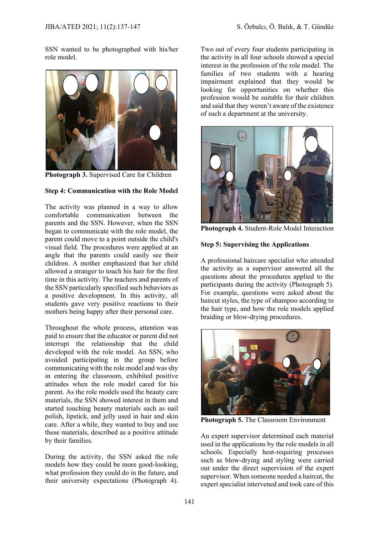SSN wanted to be photographed with his/her role model.



**Photograph 3.** Supervised Care for Children

## **Step 4: Communication with the Role Model**

The activity was planned in a way to allow comfortable communication between the parents and the SSN. However, when the SSN began to communicate with the role model, the parent could move to a point outside the child's visual field. The procedures were applied at an angle that the parents could easily see their children. A mother emphasized that her child allowed a stranger to touch his hair for the first time in this activity. The teachers and parents of the SSN particularly specified such behaviors as a positive development. In this activity, all students gave very positive reactions to their mothers being happy after their personal care.

Throughout the whole process, attention was paid to ensure that the educator or parent did not interrupt the relationship that the child developed with the role model. An SSN, who avoided participating in the group before communicating with the role model and was shy in entering the classroom, exhibited positive attitudes when the role model cared for his parent. As the role models used the beauty care materials, the SSN showed interest in them and started touching beauty materials such as nail polish, lipstick, and jelly used in hair and skin care. After a while, they wanted to buy and use these materials, described as a positive attitude by their families.

During the activity, the SSN asked the role models how they could be more good-looking, what profession they could do in the future, and their university expectations (Photograph 4).

Two out of every four students participating in the activity in all four schools showed a special interest in the profession of the role model. The families of two students with a hearing impairment explained that they would be looking for opportunities on whether this profession would be suitable for their children and said that they weren't aware of the existence of such a department at the university.



**Photograph 4.** Student-Role Model Interaction

#### **Step 5: Supervising the Applications**

A professional haircare specialist who attended the activity as a supervisor answered all the questions about the procedures applied to the participants during the activity (Photograph 5). For example, questions were asked about the haircut styles, the type of shampoo according to the hair type, and how the role models applied braiding or blow-drying procedures.



**Photograph 5.** The Classroom Environment

An expert supervisor determined each material used in the applications by the role models in all schools. Especially heat-requiring processes such as blow-drying and styling were carried out under the direct supervision of the expert supervisor. When someone needed a haircut, the expert specialist intervened and took care of this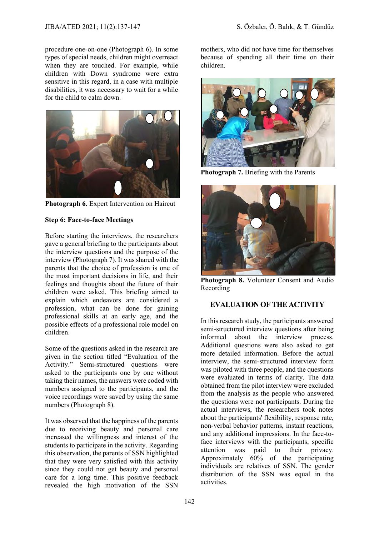procedure one-on-one (Photograph 6). In some types of special needs, children might overreact when they are touched. For example, while children with Down syndrome were extra sensitive in this regard, in a case with multiple disabilities, it was necessary to wait for a while for the child to calm down.



**Photograph 6.** Expert Intervention on Haircut

## **Step 6: Face-to-face Meetings**

Before starting the interviews, the researchers gave a general briefing to the participants about the interview questions and the purpose of the interview (Photograph 7). It was shared with the parents that the choice of profession is one of the most important decisions in life, and their feelings and thoughts about the future of their children were asked. This briefing aimed to explain which endeavors are considered a profession, what can be done for gaining professional skills at an early age, and the possible effects of a professional role model on children.

Some of the questions asked in the research are given in the section titled "Evaluation of the Activity." Semi-structured questions were asked to the participants one by one without taking their names, the answers were coded with numbers assigned to the participants, and the voice recordings were saved by using the same numbers (Photograph 8).

It was observed that the happiness of the parents due to receiving beauty and personal care increased the willingness and interest of the students to participate in the activity. Regarding this observation, the parents of SSN highlighted that they were very satisfied with this activity since they could not get beauty and personal care for a long time. This positive feedback revealed the high motivation of the SSN

mothers, who did not have time for themselves because of spending all their time on their children.



**Photograph 7.** Briefing with the Parents



**Photograph 8.** Volunteer Consent and Audio Recording

## **EVALUATION OF THE ACTIVITY**

In this research study, the participants answered semi-structured interview questions after being informed about the interview process. Additional questions were also asked to get more detailed information. Before the actual interview, the semi-structured interview form was piloted with three people, and the questions were evaluated in terms of clarity. The data obtained from the pilot interview were excluded from the analysis as the people who answered the questions were not participants. During the actual interviews, the researchers took notes about the participants' flexibility, response rate, non-verbal behavior patterns, instant reactions, and any additional impressions. In the face-toface interviews with the participants, specific attention was paid to their privacy. Approximately 60% of the participating individuals are relatives of SSN. The gender distribution of the SSN was equal in the activities.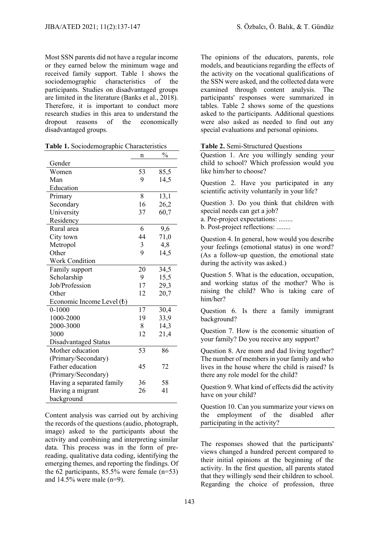Most SSN parents did not have a regular income or they earned below the minimum wage and received family support. Table 1 shows the sociodemographic characteristics of the participants. Studies on disadvantaged groups are limited in the literature (Banks et al., 2018). Therefore, it is important to conduct more research studies in this area to understand the dropout reasons of the economically disadvantaged groups.

|                                    | n  | $\frac{0}{0}$ |
|------------------------------------|----|---------------|
| Gender                             |    |               |
| Women                              | 53 | 85,5          |
| Man                                | 9  | 14,5          |
| Education                          |    |               |
| Primary                            | 8  | 13,1          |
| Secondary                          | 16 | 26,2          |
| University                         | 37 | 60,7          |
| Residency                          |    |               |
| Rural area                         | 6  | 9,6           |
| City town                          | 44 | 71,0          |
| Metropol                           | 3  | 4,8           |
| Other                              | 9  | 14,5          |
| <b>Work Condition</b>              |    |               |
| Family support                     | 20 | 34,5          |
| Scholarship                        | 9  | 15,5          |
| Job/Profession                     | 17 | 29,3          |
| Other                              | 12 | 20,7          |
| Economic Income Level ( <i>t</i> ) |    |               |
| $0 - 1000$                         | 17 | 30,4          |
| 1000-2000                          | 19 | 33,9          |
| 2000-3000                          | 8  | 14,3          |
| 3000                               | 12 | 21,4          |
| Disadvantaged Status               |    |               |
| Mother education                   | 53 | 86            |
| (Primary/Secondary)                |    |               |
| Father education                   | 45 | 72            |
| (Primary/Secondary)                |    |               |
| Having a separated family          | 36 | 58            |
| Having a migrant                   | 26 | 41            |
| background                         |    |               |

**Table 1.** Sociodemographic Characteristics

Content analysis was carried out by archiving the records of the questions (audio, photograph, image) asked to the participants about the activity and combining and interpreting similar data. This process was in the form of prereading, qualitative data coding, identifying the emerging themes, and reporting the findings. Of the 62 participants, 85.5% were female (n=53) and 14.5% were male (n=9).

The opinions of the educators, parents, role models, and beauticians regarding the effects of the activity on the vocational qualifications of the SSN were asked, and the collected data were examined through content analysis. The participants' responses were summarized in tables. Table 2 shows some of the questions asked to the participants. Additional questions were also asked as needed to find out any special evaluations and personal opinions.

#### **Table 2.** Semi-Structured Questions

Question 1. Are you willingly sending your child to school? Which profession would you like him/her to choose?

Question 2. Have you participated in any scientific activity voluntarily in your life?

Question 3. Do you think that children with special needs can get a job?

a. Pre-project expectations: ........

b. Post-project reflections: ........

Question 4. In general, how would you describe your feelings (emotional status) in one word? (As a follow-up question, the emotional state during the activity was asked.)

Question 5. What is the education, occupation, and working status of the mother? Who is raising the child? Who is taking care of him/her?

Question 6. Is there a family immigrant background?

Question 7. How is the economic situation of your family? Do you receive any support?

Question 8. Are mom and dad living together? The number of members in your family and who lives in the house where the child is raised? Is there any role model for the child?

Question 9. What kind of effects did the activity have on your child?

Question 10. Can you summarize your views on the employment of the disabled after participating in the activity?

The responses showed that the participants' views changed a hundred percent compared to their initial opinions at the beginning of the activity. In the first question, all parents stated that they willingly send their children to school. Regarding the choice of profession, three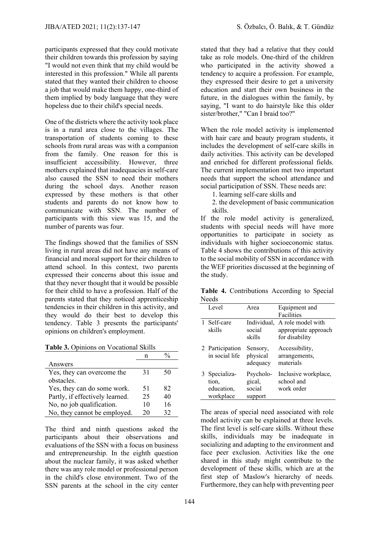participants expressed that they could motivate their children towards this profession by saying "I would not even think that my child would be interested in this profession." While all parents stated that they wanted their children to choose a job that would make them happy, one-third of them implied by body language that they were hopeless due to their child's special needs.

One of the districts where the activity took place is in a rural area close to the villages. The transportation of students coming to these schools from rural areas was with a companion from the family. One reason for this is insufficient accessibility. However, three mothers explained that inadequacies in self-care also caused the SSN to need their mothers during the school days. Another reason expressed by these mothers is that other students and parents do not know how to communicate with SSN. The number of participants with this view was 15, and the number of parents was four.

The findings showed that the families of SSN living in rural areas did not have any means of financial and moral support for their children to attend school. In this context, two parents expressed their concerns about this issue and that they never thought that it would be possible for their child to have a profession. Half of the parents stated that they noticed apprenticeship tendencies in their children in this activity, and they would do their best to develop this tendency. Table 3 presents the participants' opinions on children's employment.

**Table 3.** Opinions on Vocational Skills

| Answers                         |    |    |
|---------------------------------|----|----|
| Yes, they can overcome the      | 31 | 50 |
| obstacles                       |    |    |
| Yes, they can do some work.     | 51 | 82 |
| Partly, if effectively learned. | 25 | 40 |
| No, no job qualification.       | 10 | 16 |
| No, they cannot be employed.    | 20 | 32 |

The third and ninth questions asked the participants about their observations and evaluations of the SSN with a focus on business and entrepreneurship. In the eighth question about the nuclear family, it was asked whether there was any role model or professional person in the child's close environment. Two of the SSN parents at the school in the city center stated that they had a relative that they could take as role models. One-third of the children who participated in the activity showed a tendency to acquire a profession. For example, they expressed their desire to get a university education and start their own business in the future, in the dialogues within the family, by saying, "I want to do hairstyle like this older sister/brother," "Can I braid too?"

When the role model activity is implemented with hair care and beauty program students, it includes the development of self-care skills in daily activities. This activity can be developed and enriched for different professional fields. The current implementation met two important needs that support the school attendance and social participation of SSN. These needs are:

1. learning self-care skills and

2. the development of basic communication skills.

If the role model activity is generalized, students with special needs will have more opportunities to participate in society as individuals with higher socioeconomic status. Table 4 shows the contributions of this activity to the social mobility of SSN in accordance with the WEF priorities discussed at the beginning of the study.

|       | Table 4. Contributions According to Special |  |  |
|-------|---------------------------------------------|--|--|
| Needs |                                             |  |  |

|  | Level                                             | Area                                     | Equipment and<br>Facilities                                 |  |
|--|---------------------------------------------------|------------------------------------------|-------------------------------------------------------------|--|
|  | 1 Self-care<br>skills                             | Individual,<br>social<br>skills          | A role model with<br>appropriate approach<br>for disability |  |
|  | 2 Participation<br>in social life                 | Sensory,<br>physical<br>adequacy         | Accessibility,<br>arrangements,<br>materials                |  |
|  | 3 Specializa-<br>tion.<br>education,<br>workplace | Psycholo-<br>gical,<br>social<br>support | Inclusive workplace,<br>school and<br>work order            |  |

The areas of special need associated with role model activity can be explained at three levels. The first level is self-care skills. Without these skills, individuals may be inadequate in socializing and adapting to the environment and face peer exclusion. Activities like the one shared in this study might contribute to the development of these skills, which are at the first step of Maslow's hierarchy of needs. Furthermore, they can help with preventing peer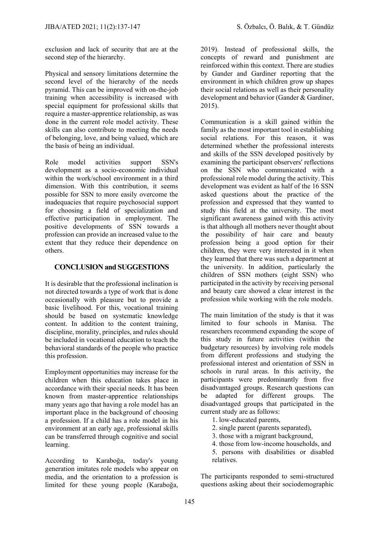exclusion and lack of security that are at the second step of the hierarchy.

Physical and sensory limitations determine the second level of the hierarchy of the needs pyramid. This can be improved with on-the-job training when accessibility is increased with special equipment for professional skills that require a master-apprentice relationship, as was done in the current role model activity. These skills can also contribute to meeting the needs of belonging, love, and being valued, which are the basis of being an individual.

Role model activities support SSN's development as a socio-economic individual within the work/school environment in a third dimension. With this contribution, it seems possible for SSN to more easily overcome the inadequacies that require psychosocial support for choosing a field of specialization and effective participation in employment. The positive developments of SSN towards a profession can provide an increased value to the extent that they reduce their dependence on others.

## **CONCLUSION and SUGGESTIONS**

It is desirable that the professional inclination is not directed towards a type of work that is done occasionally with pleasure but to provide a basic livelihood. For this, vocational training should be based on systematic knowledge content. In addition to the content training, discipline, morality, principles, and rules should be included in vocational education to teach the behavioral standards of the people who practice this profession.

Employment opportunities may increase for the children when this education takes place in accordance with their special needs. It has been known from master-apprentice relationships many years ago that having a role model has an important place in the background of choosing a profession. If a child has a role model in his environment at an early age, professional skills can be transferred through cognitive and social learning.

According to Karaboğa, today's young generation imitates role models who appear on media, and the orientation to a profession is limited for these young people (Karaboğa,

2019). Instead of professional skills, the concepts of reward and punishment are reinforced within this context. There are studies by Gander and Gardiner reporting that the environment in which children grow up shapes their social relations as well as their personality development and behavior (Gander & Gardiner, 2015).

Communication is a skill gained within the family as the most important tool in establishing social relations. For this reason, it was determined whether the professional interests and skills of the SSN developed positively by examining the participant observers' reflections on the SSN who communicated with a professional role model during the activity. This development was evident as half of the 16 SSN asked questions about the practice of the profession and expressed that they wanted to study this field at the university. The most significant awareness gained with this activity is that although all mothers never thought about the possibility of hair care and beauty profession being a good option for their children, they were very interested in it when they learned that there was such a department at the university. In addition, particularly the children of SSN mothers (eight SSN) who participated in the activity by receiving personal and beauty care showed a clear interest in the profession while working with the role models.

The main limitation of the study is that it was limited to four schools in Manisa. The researchers recommend expanding the scope of this study in future activities (within the budgetary resources) by involving role models from different professions and studying the professional interest and orientation of SSN in schools in rural areas. In this activity, the participants were predominantly from five disadvantaged groups. Research questions can be adapted for different groups. The disadvantaged groups that participated in the current study are as follows:

- 1. low-educated parents,
- 2. single parent (parents separated),
- 3. those with a migrant background,
- 4. those from low-income households, and
- 5. persons with disabilities or disabled relatives.

The participants responded to semi-structured questions asking about their sociodemographic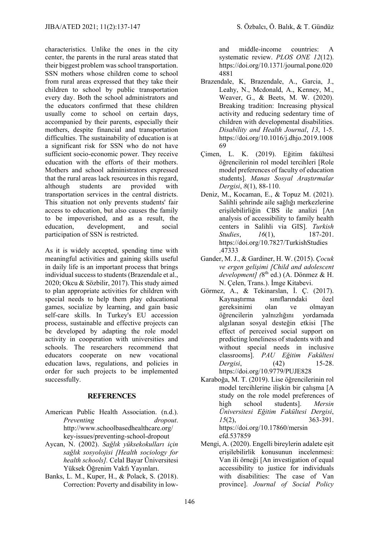characteristics. Unlike the ones in the city center, the parents in the rural areas stated that their biggest problem was school transportation. SSN mothers whose children come to school from rural areas expressed that they take their children to school by public transportation every day. Both the school administrators and the educators confirmed that these children usually come to school on certain days, accompanied by their parents, especially their mothers, despite financial and transportation difficulties. The sustainability of education is at a significant risk for SSN who do not have sufficient socio-economic power. They receive education with the efforts of their mothers. Mothers and school administrators expressed that the rural areas lack resources in this regard, although students are provided with transportation services in the central districts. This situation not only prevents students' fair access to education, but also causes the family to be impoverished, and as a result, the

education, development, and social participation of SSN is restricted. As it is widely accepted, spending time with

meaningful activities and gaining skills useful in daily life is an important process that brings individual success to students (Brazendale et al., 2020; Okcu & Sözbilir, 2017). This study aimed to plan appropriate activities for children with special needs to help them play educational games, socialize by learning, and gain basic self-care skills. In Turkey's EU accession process, sustainable and effective projects can be developed by adapting the role model activity in cooperation with universities and schools. The researchers recommend that educators cooperate on new vocational education laws, regulations, and policies in order for such projects to be implemented successfully.

## **REFERENCES**

- American Public Health Association. (n.d.). *Preventing dropout*. http://www.schoolbasedhealthcare.org/ key-issues/preventing-school-dropout
- Aycan, N. (2002). *Sağlık yüksekokulları için sağlık sosyolojisi [Health sociology for health schools].* Celal Bayar Üniversitesi Yüksek Öğrenim Vakfı Yayınları.
- Banks, L. M., Kuper, H., & Polack, S. (2018). Correction: Poverty and disability in low-

and middle-income countries: A systematic review. *PLOS ONE 12*(12). https://doi.org/10.1371/journal.pone.020 4881

- Brazendale, K, Brazendale, A., Garcia, J., Leahy, N., Mcdonald, A., Kenney, M., Weaver, G., & Beets, M. W. (2020). Breaking tradition: Increasing physical activity and reducing sedentary time of children with developmental disabilities. *Disability and Health Journal*, *13*, 1-5. https://doi.org/10.1016/j.dhjo.2019.1008 69
- Çimen, L. K. (2019). Eğitim fakültesi öğrencilerinin rol model tercihleri [Role model preferences of faculty of education students]. *Manas Sosyal Araştırmalar Dergisi*, *8*(1), 88-110.
- Deniz, M., Kocaman, E., & Topuz M. (2021). Salihli şehrinde aile sağlığı merkezlerine erişilebilirliğin CBS ile analizi [An analysis of accessibility to family health centers in Salihli via GIS]. *Turkish Studies*, *16*(1), 187-201. https://doi.org/10.7827/TurkishStudies .47333
- Gander, M. J., & Gardiner, H. W. (2015). *Çocuk ve ergen gelişimi [Child and adolescent*  development] (8<sup>th</sup> ed.) (A. Dönmez & H. N. Çelen, Trans.). İmge Kitabevi.
- Görmez, A., & Tekinarslan, İ. Ç. (2017). Kaynaştırma sınıflarındaki özel gereksinimi olan ve olmayan öğrencilerin yalnızlığını yordamada algılanan sosyal desteğin etkisi [The effect of perceived social support on predicting loneliness of students with and without special needs in inclusive classrooms]. *PAU Eğitim Fakültesi Dergisi*, (42) 15-28. https://doi.org/10.9779/PUJE828
- Karaboğa, M. T. (2019). Lise öğrencilerinin rol model tercihlerine ilişkin bir çalışma [A study on the role model preferences of high school students]. *Mersin Üniversitesi Eğitim Fakültesi Dergisi*, *15*(2), 363-391. https://doi.org/10.17860/mersin efd.537859
- Mengi, A. (2020). Engelli bireylerin adalete eşit erişilebilirlik konusunun incelenmesi: Van ili örneği [An investigation of equal accessibility to justice for individuals with disabilities: The case of Van province]. *Journal of Social Policy*